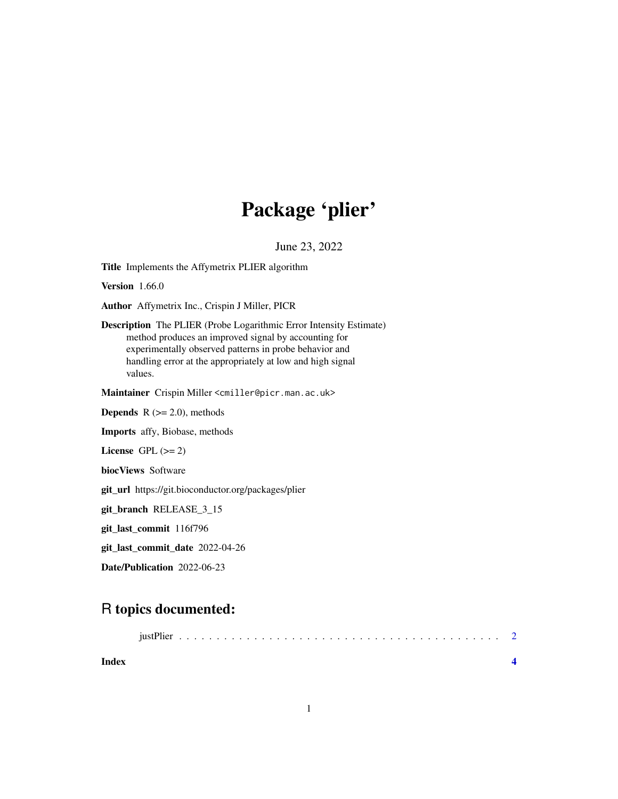## Package 'plier'

June 23, 2022

Title Implements the Affymetrix PLIER algorithm

**Version** 1.66.0

Author Affymetrix Inc., Crispin J Miller, PICR

Description The PLIER (Probe Logarithmic Error Intensity Estimate) method produces an improved signal by accounting for experimentally observed patterns in probe behavior and handling error at the appropriately at low and high signal values.

Maintainer Crispin Miller <cmiller@picr.man.ac.uk>

**Depends**  $R$  ( $>= 2.0$ ), methods

Imports affy, Biobase, methods

License GPL  $(>= 2)$ 

biocViews Software

git\_url https://git.bioconductor.org/packages/plier

git\_branch RELEASE\_3\_15

git\_last\_commit 116f796

git\_last\_commit\_date 2022-04-26

Date/Publication 2022-06-23

### R topics documented:

| Index |  |  |  |  |  |  |  |  |  |  |  |  |  |  |  |  |  |  |
|-------|--|--|--|--|--|--|--|--|--|--|--|--|--|--|--|--|--|--|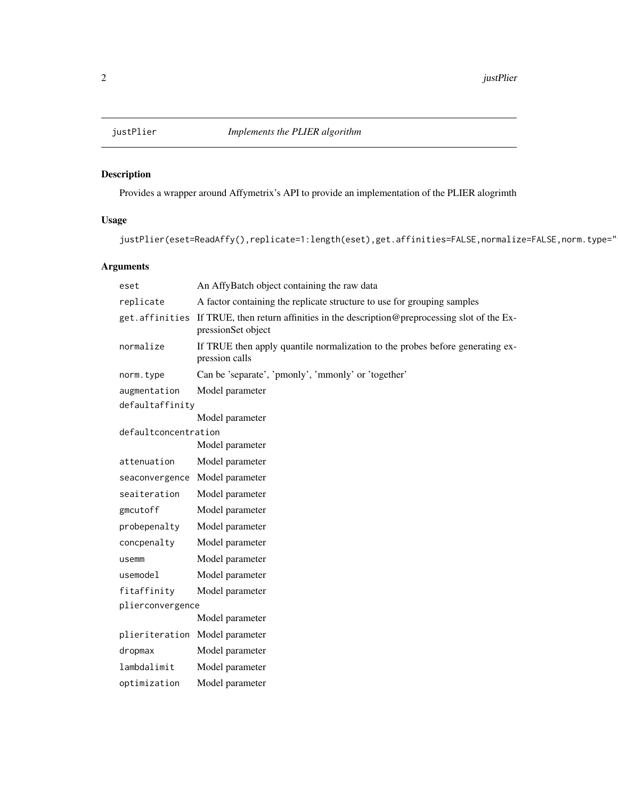<span id="page-1-0"></span>

#### Description

Provides a wrapper around Affymetrix's API to provide an implementation of the PLIER alogrimth

#### Usage

```
justPlier(eset=ReadAffy(),replicate=1:length(eset),get.affinities=FALSE,normalize=FALSE,norm.type="
```
#### Arguments

| eset                           | An AffyBatch object containing the raw data                                                                            |  |  |  |  |  |  |
|--------------------------------|------------------------------------------------------------------------------------------------------------------------|--|--|--|--|--|--|
| replicate                      | A factor containing the replicate structure to use for grouping samples                                                |  |  |  |  |  |  |
|                                | get. affinities If TRUE, then return affinities in the description@preprocessing slot of the Ex-<br>pressionSet object |  |  |  |  |  |  |
| normalize                      | If TRUE then apply quantile normalization to the probes before generating ex-<br>pression calls                        |  |  |  |  |  |  |
| norm.type                      | Can be 'separate', 'pmonly', 'mmonly' or 'together'                                                                    |  |  |  |  |  |  |
| augmentation                   | Model parameter                                                                                                        |  |  |  |  |  |  |
| defaultaffinity                |                                                                                                                        |  |  |  |  |  |  |
|                                | Model parameter                                                                                                        |  |  |  |  |  |  |
| defaultconcentration           | Model parameter                                                                                                        |  |  |  |  |  |  |
| attenuation                    | Model parameter                                                                                                        |  |  |  |  |  |  |
| seaconvergence Model parameter |                                                                                                                        |  |  |  |  |  |  |
| seaiteration                   | Model parameter                                                                                                        |  |  |  |  |  |  |
| gmcutoff                       | Model parameter                                                                                                        |  |  |  |  |  |  |
| probepenalty                   | Model parameter                                                                                                        |  |  |  |  |  |  |
| concpenalty                    | Model parameter                                                                                                        |  |  |  |  |  |  |
| usemm                          | Model parameter                                                                                                        |  |  |  |  |  |  |
| usemodel                       | Model parameter                                                                                                        |  |  |  |  |  |  |
| fitaffinity                    | Model parameter                                                                                                        |  |  |  |  |  |  |
| plierconvergence               |                                                                                                                        |  |  |  |  |  |  |
|                                | Model parameter                                                                                                        |  |  |  |  |  |  |
| plieriteration Model parameter |                                                                                                                        |  |  |  |  |  |  |
| dropmax                        | Model parameter                                                                                                        |  |  |  |  |  |  |
| lambdalimit                    | Model parameter                                                                                                        |  |  |  |  |  |  |
| optimization                   | Model parameter                                                                                                        |  |  |  |  |  |  |
|                                |                                                                                                                        |  |  |  |  |  |  |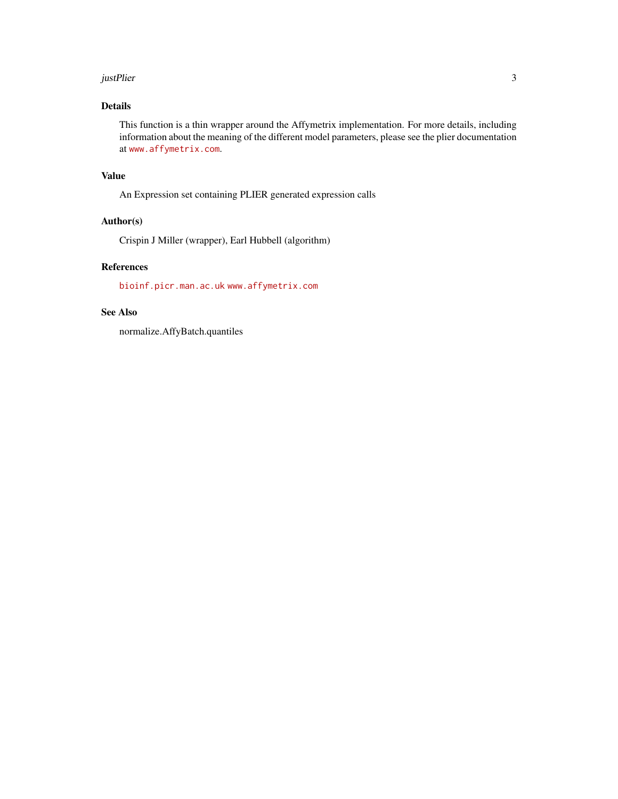#### justPlier 3

#### Details

This function is a thin wrapper around the Affymetrix implementation. For more details, including information about the meaning of the different model parameters, please see the plier documentation at <www.affymetrix.com>.

#### Value

An Expression set containing PLIER generated expression calls

#### Author(s)

Crispin J Miller (wrapper), Earl Hubbell (algorithm)

#### References

<bioinf.picr.man.ac.uk> <www.affymetrix.com>

#### See Also

normalize.AffyBatch.quantiles